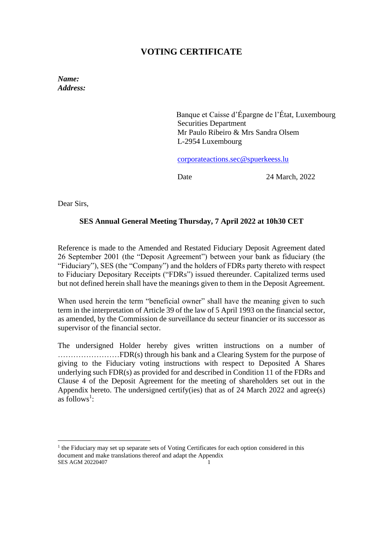# **VOTING CERTIFICATE**

*Name: Address:* 

> Banque et Caisse d'Épargne de l'État, Luxembourg Securities Department Mr Paulo Ribeiro & Mrs Sandra Olsem L-2954 Luxembourg

[corporateactions.sec@spuerkeess.lu](mailto:corporateactions.sec@spuerkeess.lu)

Date 24 March, 2022

Dear Sirs,

### **SES Annual General Meeting Thursday, 7 April 2022 at 10h30 CET**

Reference is made to the Amended and Restated Fiduciary Deposit Agreement dated 26 September 2001 (the "Deposit Agreement") between your bank as fiduciary (the "Fiduciary"), SES (the "Company") and the holders of FDRs party thereto with respect to Fiduciary Depositary Receipts ("FDRs") issued thereunder. Capitalized terms used but not defined herein shall have the meanings given to them in the Deposit Agreement.

When used herein the term "beneficial owner" shall have the meaning given to such term in the interpretation of Article 39 of the law of 5 April 1993 on the financial sector, as amended, by the Commission de surveillance du secteur financier or its successor as supervisor of the financial sector.

The undersigned Holder hereby gives written instructions on a number of ……………………FDR(s) through his bank and a Clearing System for the purpose of giving to the Fiduciary voting instructions with respect to Deposited A Shares underlying such FDR(s) as provided for and described in Condition 11 of the FDRs and Clause 4 of the Deposit Agreement for the meeting of shareholders set out in the Appendix hereto. The undersigned certify(ies) that as of 24 March 2022 and agree(s) as follows<sup>1</sup>:

SES AGM 20220407 <sup>1</sup> the Fiduciary may set up separate sets of Voting Certificates for each option considered in this document and make translations thereof and adapt the Appendix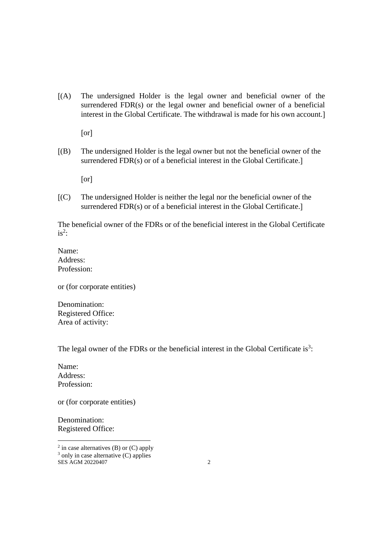(A) The undersigned Holder is the legal owner and beneficial owner of the surrendered FDR(s) or the legal owner and beneficial owner of a beneficial interest in the Global Certificate. The withdrawal is made for his own account.

[or]

(B) The undersigned Holder is the legal owner but not the beneficial owner of the surrendered FDR(s) or of a beneficial interest in the Global Certificate.

[or]

(C) The undersigned Holder is neither the legal nor the beneficial owner of the surrendered FDR(s) or of a beneficial interest in the Global Certificate.

The beneficial owner of the FDRs or of the beneficial interest in the Global Certificate  $is^2$ :

Name: Address: Profession:

or (for corporate entities)

Denomination: Registered Office: Area of activity:

The legal owner of the FDRs or the beneficial interest in the Global Certificate is<sup>3</sup>:

Name: Address: Profession:

or (for corporate entities)

Denomination: Registered Office:

SES AGM 20220407 2  $2$  in case alternatives (B) or (C) apply  $3$  only in case alternative (C) applies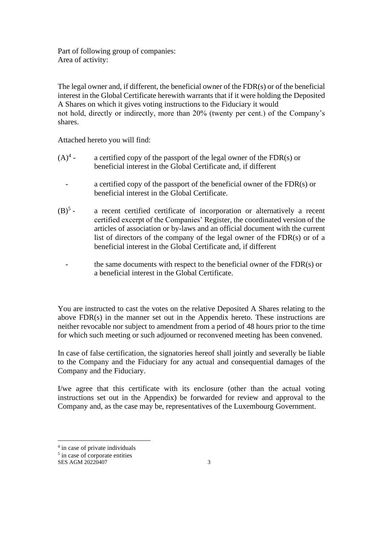Part of following group of companies: Area of activity:

The legal owner and, if different, the beneficial owner of the FDR(s) or of the beneficial interest in the Global Certificate herewith warrants that if it were holding the Deposited A Shares on which it gives voting instructions to the Fiduciary it would not hold, directly or indirectly, more than 20% (twenty per cent.) of the Company's shares.

Attached hereto you will find:

- $(A)^4$  a certified copy of the passport of the legal owner of the  $FDR(s)$  or beneficial interest in the Global Certificate and, if different
	- a certified copy of the passport of the beneficial owner of the FDR(s) or beneficial interest in the Global Certificate.
- $(B)^{5}$  a recent certified certificate of incorporation or alternatively a recent certified excerpt of the Companies' Register, the coordinated version of the articles of association or by-laws and an official document with the current list of directors of the company of the legal owner of the FDR(s) or of a beneficial interest in the Global Certificate and, if different
	- the same documents with respect to the beneficial owner of the  $FDR(s)$  or a beneficial interest in the Global Certificate.

You are instructed to cast the votes on the relative Deposited A Shares relating to the above FDR(s) in the manner set out in the Appendix hereto. These instructions are neither revocable nor subject to amendment from a period of 48 hours prior to the time for which such meeting or such adjourned or reconvened meeting has been convened.

In case of false certification, the signatories hereof shall jointly and severally be liable to the Company and the Fiduciary for any actual and consequential damages of the Company and the Fiduciary.

I/we agree that this certificate with its enclosure (other than the actual voting instructions set out in the Appendix) be forwarded for review and approval to the Company and, as the case may be, representatives of the Luxembourg Government.

<sup>&</sup>lt;sup>4</sup> in case of private individuals

<sup>&</sup>lt;sup>5</sup> in case of corporate entities

SES AGM 20220407 3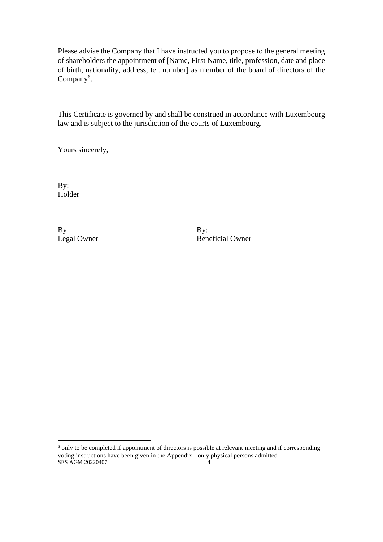Please advise the Company that I have instructed you to propose to the general meeting of shareholders the appointment of Name, First Name, title, profession, date and place of birth, nationality, address, tel. number] as member of the board of directors of the Company<sup>6</sup>.

This Certificate is governed by and shall be construed in accordance with Luxembourg law and is subject to the jurisdiction of the courts of Luxembourg.

Yours sincerely,

By: Holder

By: By:

Legal Owner Beneficial Owner

SES AGM 20220407 4 <sup>6</sup> only to be completed if appointment of directors is possible at relevant meeting and if corresponding voting instructions have been given in the Appendix - only physical persons admitted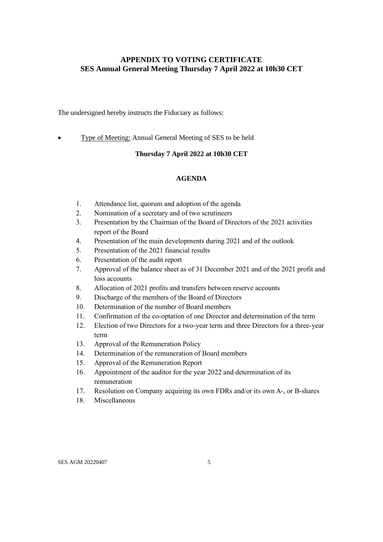## **APPENDIX TO VOTING CERTIFICATE SES Annual General Meeting Thursday 7 April 2022 at 10h30 CET**

The undersigned hereby instructs the Fiduciary as follows:

• Type of Meeting: Annual General Meeting of SES to be held

#### **Thursday 7 April 2022 at 10h30 CET**

#### **AGENDA**

- 1. Attendance list, quorum and adoption of the agenda
- 2. Nomination of a secretary and of two scrutineers
- 3. Presentation by the Chairman of the Board of Directors of the 2021 activities report of the Board
- 4. Presentation of the main developments during 2021 and of the outlook
- 5. Presentation of the 2021 financial results
- 6. Presentation of the audit report
- 7. Approval of the balance sheet as of 31 December 2021 and of the 2021 profit and loss accounts
- 8. Allocation of 2021 profits and transfers between reserve accounts
- 9. Discharge of the members of the Board of Directors
- 10. Determination of the number of Board members
- 11. Confirmation of the co-optation of one Director and determination of the term
- 12. Election of two Directors for a two-year term and three Directors for a three-year term
- 13. Approval of the Remuneration Policy
- 14. Determination of the remuneration of Board members
- 15. Approval of the Remuneration Report
- 16. Appointment of the auditor for the year 2022 and determination of its remuneration
- 17. Resolution on Company acquiring its own FDRs and/or its own A-, or B-shares
- 18. Miscellaneous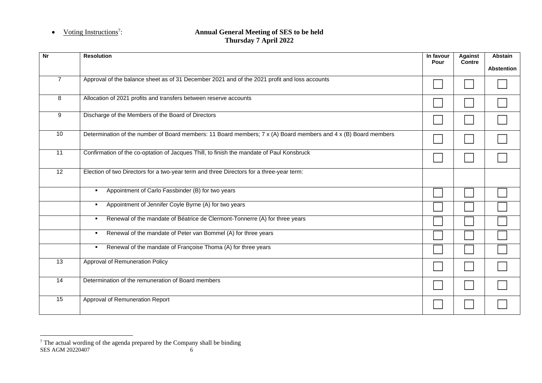## • Voting Instructions<sup>7</sup>:

#### : **Annual General Meeting of SES to be held Thursday 7 April 2022**

| <b>Nr</b>       | <b>Resolution</b>                                                                                               | In favour<br>Pour | Against<br>Contre | <b>Abstain</b>    |
|-----------------|-----------------------------------------------------------------------------------------------------------------|-------------------|-------------------|-------------------|
|                 |                                                                                                                 |                   |                   | <b>Abstention</b> |
| $\overline{7}$  | Approval of the balance sheet as of 31 December 2021 and of the 2021 profit and loss accounts                   |                   |                   |                   |
| 8               | Allocation of 2021 profits and transfers between reserve accounts                                               |                   |                   |                   |
| 9               | Discharge of the Members of the Board of Directors                                                              |                   |                   |                   |
| 10              | Determination of the number of Board members: 11 Board members; 7 x (A) Board members and 4 x (B) Board members |                   |                   |                   |
| 11              | Confirmation of the co-optation of Jacques Thill, to finish the mandate of Paul Konsbruck                       |                   |                   |                   |
| $\overline{12}$ | Election of two Directors for a two-year term and three Directors for a three-year term:                        |                   |                   |                   |
|                 | Appointment of Carlo Fassbinder (B) for two years<br>٠.                                                         |                   |                   |                   |
|                 | Appointment of Jennifer Coyle Byrne (A) for two years<br>٠.                                                     |                   |                   |                   |
|                 | Renewal of the mandate of Béatrice de Clermont-Tonnerre (A) for three years<br>٠.                               |                   |                   |                   |
|                 | Renewal of the mandate of Peter van Bommel (A) for three years<br>٠.                                            |                   |                   |                   |
|                 | Renewal of the mandate of Françoise Thoma (A) for three years<br>٠.                                             |                   |                   |                   |
| 13              | Approval of Remuneration Policy                                                                                 |                   |                   |                   |
| 14              | Determination of the remuneration of Board members                                                              |                   |                   |                   |
| 15              | Approval of Remuneration Report                                                                                 |                   |                   |                   |

SES AGM 20220407 6  $7$  The actual wording of the agenda prepared by the Company shall be binding